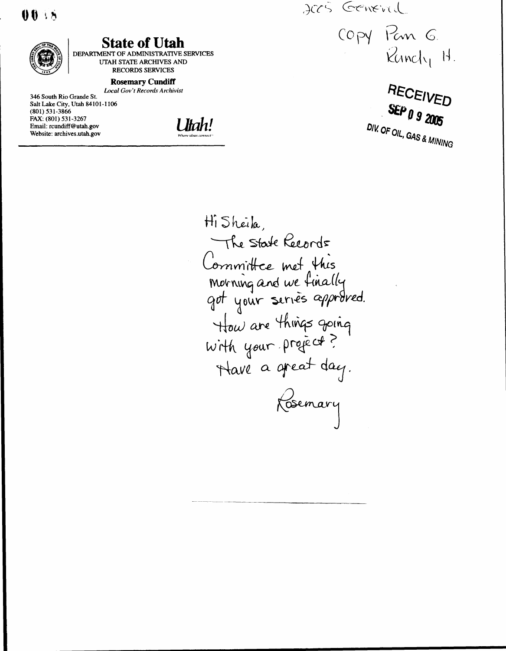$00.55$  $\begin{array}{c}\n\bullet \\
\bullet \\
\bullet \\
\bullet\n\end{array}$ 



# State of Utah

DEPARTMENT OF ADMINISTRATIVE SERVICES UTAH STATE ARCHIVES AND RECORDS SERVICES

#### Rosemary Cundiff

Local Gov't Records Archivist 346 South Rio Grande St. Salt Lake City, Utah 84101-1106 (801) 531-3866 FAX: (801) 531-3267 Email: rcundiff@utah.gov Website: archives.utah.gov

l Jłah! Where ideas connect"

JOG GENEVIL

COPY Pan G.<br>Runchy H.

RECEI VED SEP  $\theta$  9 2005 DIV  $-$ , GAS & MINING

Hi Sheila, The State Records Committee met this Morning and we fina got your series approved. ane things going your project? Have a great day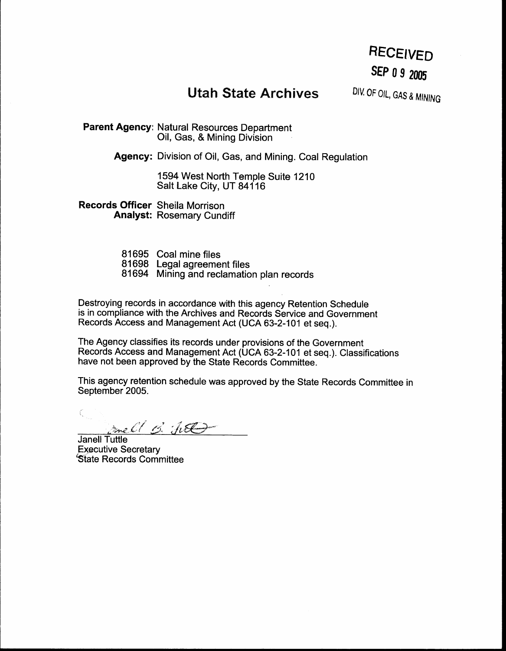# RECEIVED SEP 0 9 2005

# **Utah State Archives**

DIV. OF OIL, GAS & MINING

Parent Agency: Natural Resources Department Oil, Gas, & Mining Division

Agency: Division of Oil, Gas, and Mining. Coal Regulation

1594 West North Temple Suite 1210 Salt Lake City, UT 84116

Records Officer Sheila Morrison Analyst: Rosemary Cundiff

- 81695 Coal mine files 81698 Legal agreement files
- 81694 Mining and reclamation plan records

Destroying records in accordance with this agency Retention Schedule is in compliance with the Archives and Records Service and Government Records Access and Management Act (UCA 63-2-101 et seq.).

The Agency classifies its records under provisions of the Government Records Access and Management Act (UCA 63-2-101 et seq .) . Classifications have not been approved by the State Records Committee .

This agency retention schedule was approved by the State Records Committee in September 2005.

anell B. Jul

Janell Tuttle Executive Secretary State Records Committee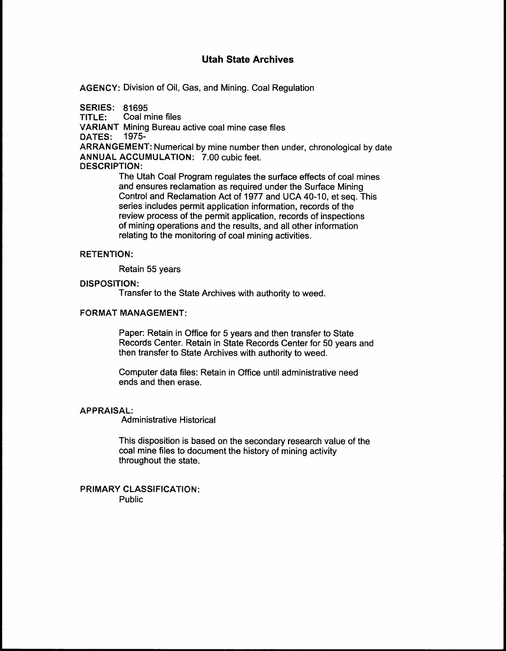AGENCY: Division of Oil, Gas, and Mining. Coal Regulation

**SERIES: 81695** 

 

TITLE: Coal mine files

VARIANT Mining Bureau active coal mine case files

DATES: 1975-

ARRANGEMENT: Numerical by mine number then under, chronological by date ANNUAL ACCUMULATION: 7.00 cubic feet.

### DESCRIPTION:

The Utah Coal Program regulates the surface effects of coal mines and ensures reclamation as required under the Surface Mining Control and Reclamation Act of 1977 and UCA 40-10, et seq. This series includes permit application information, records of the review process of the permit application, records of inspections of mining operations and the results, and all other information relating to the monitoring of coal mining activities .

## RETENTION:

Retain 55 years

### DISPOSITION:

Transfer to the State Archives with authority to weed .

## **FORMAT MANAGEMENT:**

Paper: Retain in Office for 5 years and then transfer to State Records Center. Retain in State Records Center for 50 years and then transfer to State Archives with authority to weed .

Computer data files: Retain in Office until administrative need ends and then erase.

#### APPRAISAL:

Administrative Historical

This disposition is based on the secondary research value of the coal mine files to document the history of mining activity throughout the state .

PRIMARY CLASSIFICATION: Public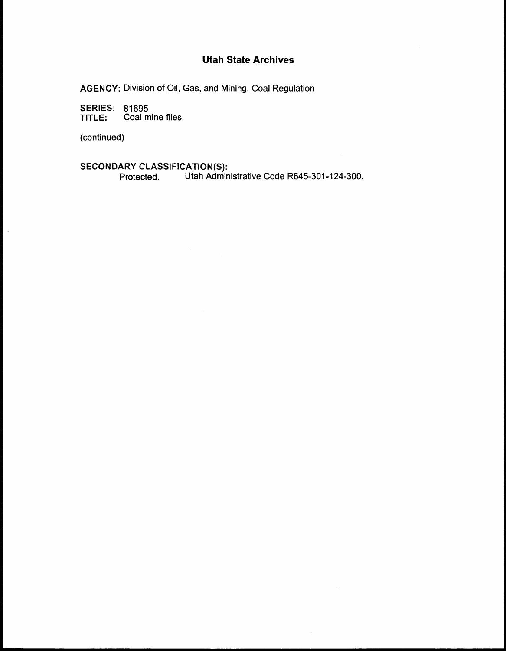AGENCY: Division of Oil, Gas, and Mining. Coal Regulation

**SERIES: 81695**  $T = C$ oal mine files

(continued)

 

 $\sim$ 

ARY CLASSIFICATION(S):

Protected . Utah Administrative Code R645-301-124-300 .

 $\bar{ }$ 

 $\bar{z}$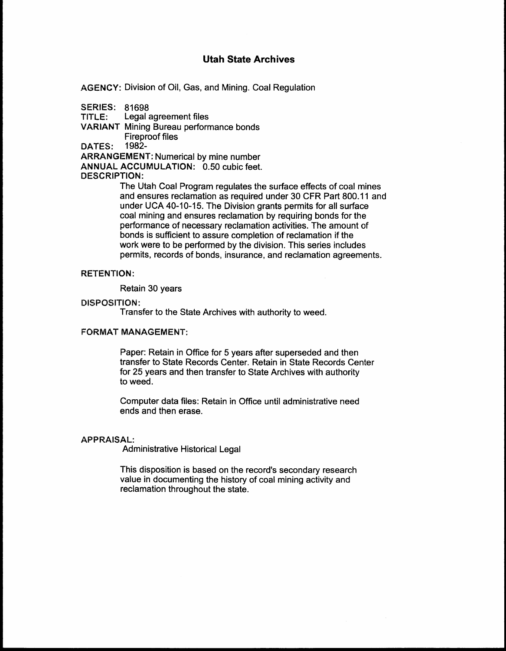AGENCY: Division of Oil, Gas, and Mining . Coal Regulation

SERIES: 81698

 

TITLE: Legal agreement files

VARIANT Mining Bureau performance bonds

Fireproof files

DATES: 1982-

ARRANGEMENT: Numerical by mine number

ANNUAL ACCUMULATION: 0.50 cubic feet.

## DESCRIPTION:

The Utah Coal Program regulates the surface effects of coal mines and ensures reclamation as required under 30 CFR Part 800.11 and under UCA 40-10-15 . The Division grants permits for all surface coal mining and ensures reclamation by requiring bonds for the performance of necessary reclamation activities . The amount of bonds is sufficient to assure completion of reclamation if the work were to be performed by the division. This series includes permits, records of bonds, insurance, and reclamation agreements .

# RETENTION:

Retain 30 years

### DISPOSITION:

Transfer to the State Archives with authority to weed .

# FORMAT MANAGEMENT

Paper: Retain in Office for 5 years after superseded and then transfer to State Records Center . Retain in State Records Center for 25 years and then transfer to State Archives with authority to weed.

Computer data files: Retain in Office until administrative need ends and then erase .

### **APPRAISAL:**

Administrative Historical Legal

This disposition is based on the record's secondary research value in documenting the history of coal mining activity and reclamation throughout the state .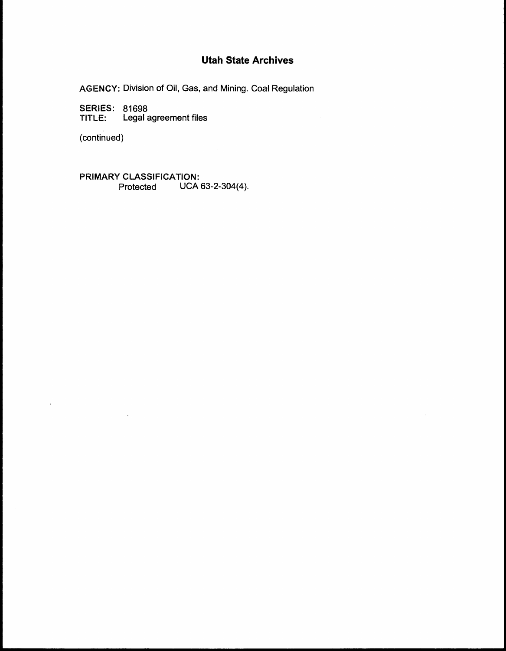AGENCY: Division of Oil, Gas, and Mining. Coal Regulation

 $\sim$ 

SERIES: 81698 TITLE: Legal agreement files

 $\bar{\mathcal{A}}$ 

(continued)

 

PRIMARY CLASSIFICATION: Protected UCA 63-2-304(4) .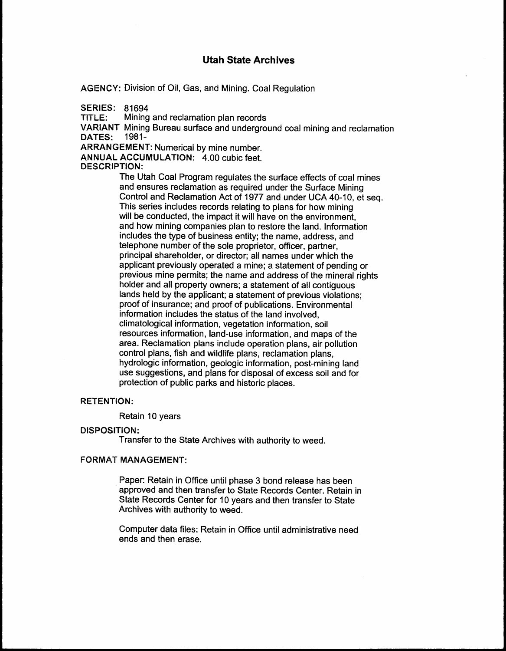AGENCY: Division of Oil, Gas, and Mining. Coal Regulation

**SERIES: 81694** 

 

TITLE: Mining and reclamation plan records

VARIANT Mining Bureau surface and underground coal mining and reclamation DATES:

ARRANGEMENT: Numerical by mine number .

ANNUAL ACCUMULATION: 4.00 cubic feet.

## DESCRIPTION:

The Utah Coal Program regulates the surface effects of coal mines and ensures reclamation as required under the Surface Mining Control and Reclamation Act of 1977 and under UCA 40-10, et seq . This series includes records relating to plans for how mining will be conducted, the impact it will have on the environment, and how mining companies plan to restore the land. Information includes the type of business entity; the name, address, and telephone number of the sole proprietor, officer, partner, principal shareholder, or director; all names under which the applicant previously operated a mine; a statement of pending or previous mine permits; the name and address of the mineral rights holder and all property owners; a statement of all contiguous lands held by the applicant; a statement of previous violations; proof of insurance; and proof of publications. Environmental information includes the status of the land involved, climatological information, vegetation information, soil resources information, land-use information, and maps of the area. Reclamation plans include operation plans, air pollution control plans, fish and wildlife plans, reclamation plans, hydrologic information, geologic information, post-mining land use suggestions, and plans for disposal of excess soil and for protection of public parks and historic places .

### **RETENTION:**

Retain 10 years

#### DISPOSITION:

Transfer to the State Archives with authority to weed .

### **FORMAT MANAGEMENT:**

Paper: Retain in office until phase 3 bond release has been approved and then transfer to State Records Center. Retain in State Records Center for 10 years and then transfer to State Archives with authority to weed .

Computer data files: Retain in Office until administrative need ends and then erase.